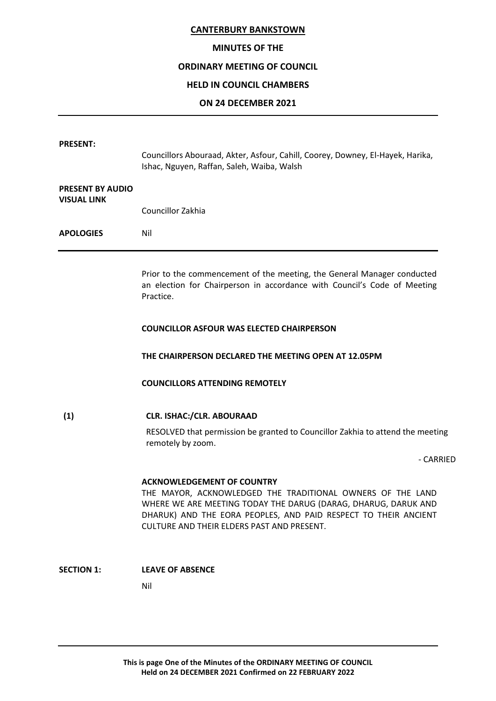#### **MINUTES OF THE**

#### **ORDINARY MEETING OF COUNCIL**

#### **HELD IN COUNCIL CHAMBERS**

#### **ON 24 DECEMBER 2021**

| <b>PRESENT:</b>                               |                                                                                                                                                                  |
|-----------------------------------------------|------------------------------------------------------------------------------------------------------------------------------------------------------------------|
|                                               | Councillors Abouraad, Akter, Asfour, Cahill, Coorey, Downey, El-Hayek, Harika,<br>Ishac, Nguyen, Raffan, Saleh, Waiba, Walsh                                     |
| <b>PRESENT BY AUDIO</b><br><b>VISUAL LINK</b> |                                                                                                                                                                  |
|                                               | Councillor Zakhia                                                                                                                                                |
| <b>APOLOGIES</b>                              | Nil                                                                                                                                                              |
|                                               | Prior to the commencement of the meeting, the General Manager conducted<br>an election for Chairperson in accordance with Council's Code of Meeting<br>Practice. |
|                                               | <b>COUNCILLOR ASFOUR WAS ELECTED CHAIRPERSON</b>                                                                                                                 |
|                                               | THE CHAIRPERSON DECLARED THE MEETING OPEN AT 12.05PM                                                                                                             |
|                                               | <b>COUNCILLORS ATTENDING REMOTELY</b>                                                                                                                            |
|                                               |                                                                                                                                                                  |

**(1) CLR. ISHAC:/CLR. ABOURAAD**

RESOLVED that permission be granted to Councillor Zakhia to attend the meeting remotely by zoom.

- CARRIED

#### **ACKNOWLEDGEMENT OF COUNTRY**

THE MAYOR, ACKNOWLEDGED THE TRADITIONAL OWNERS OF THE LAND WHERE WE ARE MEETING TODAY THE DARUG (DARAG, DHARUG, DARUK AND DHARUK) AND THE EORA PEOPLES, AND PAID RESPECT TO THEIR ANCIENT CULTURE AND THEIR ELDERS PAST AND PRESENT.

# **SECTION 1: LEAVE OF ABSENCE**

Nil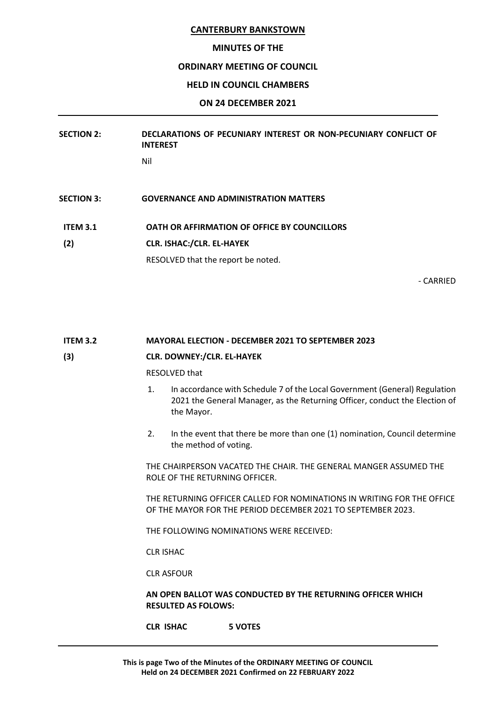#### **MINUTES OF THE**

### **ORDINARY MEETING OF COUNCIL**

# **HELD IN COUNCIL CHAMBERS**

# **ON 24 DECEMBER 2021**

# **SECTION 2: DECLARATIONS OF PECUNIARY INTEREST OR NON-PECUNIARY CONFLICT OF INTEREST**

Nil

- **SECTION 3: GOVERNANCE AND ADMINISTRATION MATTERS**
- **ITEM 3.1 OATH OR AFFIRMATION OF OFFICE BY COUNCILLORS**
- **(2) CLR. ISHAC:/CLR. EL-HAYEK**

RESOLVED that the report be noted.

- CARRIED

# **ITEM 3.2 MAYORAL ELECTION - DECEMBER 2021 TO SEPTEMBER 2023**

# **(3) CLR. DOWNEY:/CLR. EL-HAYEK**

RESOLVED that

- 1. In accordance with Schedule 7 of the Local Government (General) Regulation 2021 the General Manager, as the Returning Officer, conduct the Election of the Mayor.
- 2. In the event that there be more than one (1) nomination, Council determine the method of voting.

THE CHAIRPERSON VACATED THE CHAIR. THE GENERAL MANGER ASSUMED THE ROLE OF THE RETURNING OFFICER.

THE RETURNING OFFICER CALLED FOR NOMINATIONS IN WRITING FOR THE OFFICE OF THE MAYOR FOR THE PERIOD DECEMBER 2021 TO SEPTEMBER 2023.

THE FOLLOWING NOMINATIONS WERE RECEIVED:

CLR ISHAC

CLR ASFOUR

# **AN OPEN BALLOT WAS CONDUCTED BY THE RETURNING OFFICER WHICH RESULTED AS FOLOWS:**

**CLR ISHAC 5 VOTES**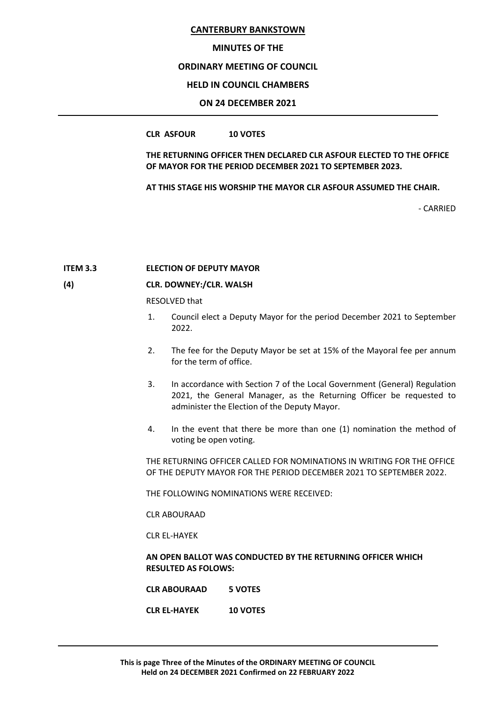#### **MINUTES OF THE**

#### **ORDINARY MEETING OF COUNCIL**

#### **HELD IN COUNCIL CHAMBERS**

#### **ON 24 DECEMBER 2021**

#### **CLR ASFOUR 10 VOTES**

**THE RETURNING OFFICER THEN DECLARED CLR ASFOUR ELECTED TO THE OFFICE OF MAYOR FOR THE PERIOD DECEMBER 2021 TO SEPTEMBER 2023.**

**AT THIS STAGE HIS WORSHIP THE MAYOR CLR ASFOUR ASSUMED THE CHAIR.**

- CARRIED

#### **ITEM 3.3 ELECTION OF DEPUTY MAYOR**

#### **(4) CLR. DOWNEY:/CLR. WALSH**

RESOLVED that

- 1. Council elect a Deputy Mayor for the period December 2021 to September 2022.
- 2. The fee for the Deputy Mayor be set at 15% of the Mayoral fee per annum for the term of office.
- 3. In accordance with Section 7 of the Local Government (General) Regulation 2021, the General Manager, as the Returning Officer be requested to administer the Election of the Deputy Mayor.
- 4. In the event that there be more than one (1) nomination the method of voting be open voting.

THE RETURNING OFFICER CALLED FOR NOMINATIONS IN WRITING FOR THE OFFICE OF THE DEPUTY MAYOR FOR THE PERIOD DECEMBER 2021 TO SEPTEMBER 2022.

THE FOLLOWING NOMINATIONS WERE RECEIVED:

CLR ABOURAAD

CLR EL-HAYEK

#### **AN OPEN BALLOT WAS CONDUCTED BY THE RETURNING OFFICER WHICH RESULTED AS FOLOWS:**

- **CLR ABOURAAD 5 VOTES**
- **CLR EL-HAYEK 10 VOTES**